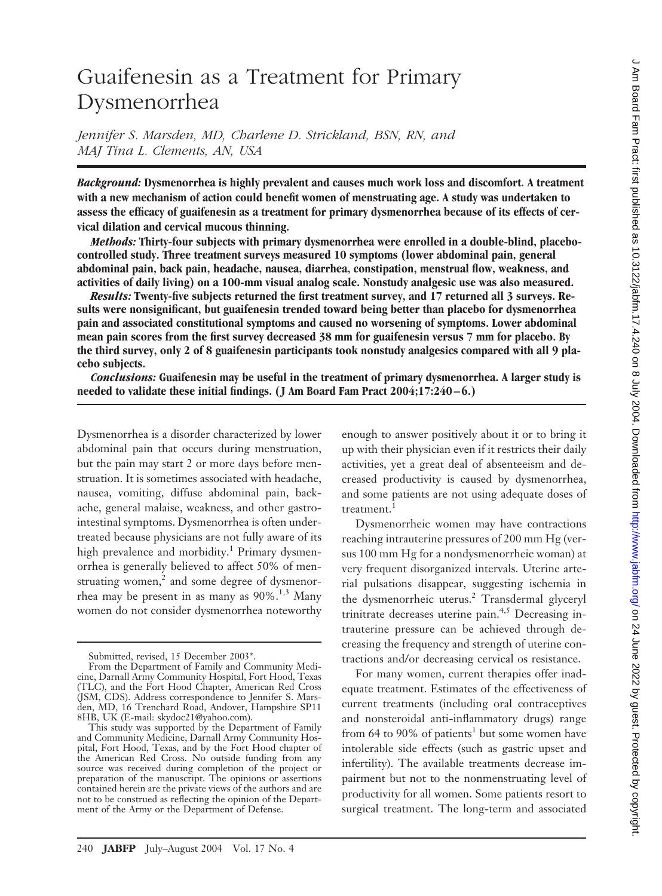# Guaifenesin as a Treatment for Primary Dysmenorrhea

*Jennifer S. Marsden, MD, Charlene D. Strickland, BSN, RN, and MAJ Tina L. Clements, AN, USA*

*Background:* **Dysmenorrhea is highly prevalent and causes much work loss and discomfort. A treatment with a new mechanism of action could benefit women of menstruating age. A study was undertaken to assess the efficacy of guaifenesin as a treatment for primary dysmenorrhea because of its effects of cervical dilation and cervical mucous thinning.**

*Methods:* **Thirty-four subjects with primary dysmenorrhea were enrolled in a double-blind, placebocontrolled study. Three treatment surveys measured 10 symptoms (lower abdominal pain, general abdominal pain, back pain, headache, nausea, diarrhea, constipation, menstrual flow, weakness, and activities of daily living) on a 100-mm visual analog scale. Nonstudy analgesic use was also measured.**

*Results:* **Twenty-five subjects returned the first treatment survey, and 17 returned all 3 surveys. Results were nonsignificant, but guaifenesin trended toward being better than placebo for dysmenorrhea pain and associated constitutional symptoms and caused no worsening of symptoms. Lower abdominal mean pain scores from the first survey decreased 38 mm for guaifenesin versus 7 mm for placebo. By the third survey, only 2 of 8 guaifenesin participants took nonstudy analgesics compared with all 9 placebo subjects.**

*Conclusions:* **Guaifenesin may be useful in the treatment of primary dysmenorrhea. A larger study is needed to validate these initial findings. (J Am Board Fam Pract 2004;17:240–6.)**

Dysmenorrhea is a disorder characterized by lower abdominal pain that occurs during menstruation, but the pain may start 2 or more days before menstruation. It is sometimes associated with headache, nausea, vomiting, diffuse abdominal pain, backache, general malaise, weakness, and other gastrointestinal symptoms. Dysmenorrhea is often undertreated because physicians are not fully aware of its high prevalence and morbidity.<sup>1</sup> Primary dysmenorrhea is generally believed to affect 50% of menstruating women, $<sup>2</sup>$  and some degree of dysmenor-</sup> rhea may be present in as many as  $90\%$ <sup>1,3</sup> Many women do not consider dysmenorrhea noteworthy enough to answer positively about it or to bring it up with their physician even if it restricts their daily activities, yet a great deal of absenteeism and decreased productivity is caused by dysmenorrhea, and some patients are not using adequate doses of treatment.<sup>1</sup>

Dysmenorrheic women may have contractions reaching intrauterine pressures of 200 mm Hg (versus 100 mm Hg for a nondysmenorrheic woman) at very frequent disorganized intervals. Uterine arterial pulsations disappear, suggesting ischemia in the dysmenorrheic uterus.<sup>2</sup> Transdermal glyceryl trinitrate decreases uterine pain.<sup>4,5</sup> Decreasing intrauterine pressure can be achieved through decreasing the frequency and strength of uterine contractions and/or decreasing cervical os resistance.

For many women, current therapies offer inadequate treatment. Estimates of the effectiveness of current treatments (including oral contraceptives and nonsteroidal anti-inflammatory drugs) range from 64 to 90% of patients<sup>1</sup> but some women have intolerable side effects (such as gastric upset and infertility). The available treatments decrease impairment but not to the nonmenstruating level of productivity for all women. Some patients resort to surgical treatment. The long-term and associated

Submitted, revised, 15 December 2003\*.

From the Department of Family and Community Medicine, Darnall Army Community Hospital, Fort Hood, Texas (TLC), and the Fort Hood Chapter, American Red Cross (JSM, CDS). Address correspondence to Jennifer S. Marsden, MD, 16 Trenchard Road, Andover, Hampshire SP11 8HB, UK (E-mail: skydoc21@yahoo.com).

This study was supported by the Department of Family and Community Medicine, Darnall Army Community Hospital, Fort Hood, Texas, and by the Fort Hood chapter of the American Red Cross. No outside funding from any source was received during completion of the project or preparation of the manuscript. The opinions or assertions contained herein are the private views of the authors and are not to be construed as reflecting the opinion of the Department of the Army or the Department of Defense.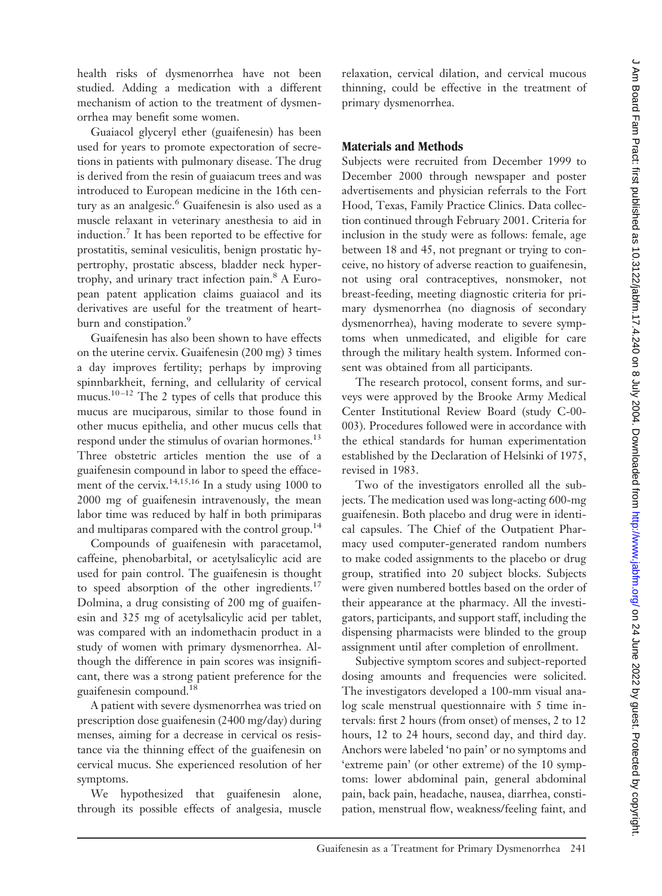health risks of dysmenorrhea have not been studied. Adding a medication with a different mechanism of action to the treatment of dysmenorrhea may benefit some women.

Guaiacol glyceryl ether (guaifenesin) has been used for years to promote expectoration of secretions in patients with pulmonary disease. The drug is derived from the resin of guaiacum trees and was introduced to European medicine in the 16th century as an analgesic.<sup>6</sup> Guaifenesin is also used as a muscle relaxant in veterinary anesthesia to aid in induction.7 It has been reported to be effective for prostatitis, seminal vesiculitis, benign prostatic hypertrophy, prostatic abscess, bladder neck hypertrophy, and urinary tract infection pain.8 A European patent application claims guaiacol and its derivatives are useful for the treatment of heartburn and constipation.<sup>9</sup>

Guaifenesin has also been shown to have effects on the uterine cervix. Guaifenesin (200 mg) 3 times a day improves fertility; perhaps by improving spinnbarkheit, ferning, and cellularity of cervical mucus.<sup>10-12</sup> The 2 types of cells that produce this mucus are muciparous, similar to those found in other mucus epithelia, and other mucus cells that respond under the stimulus of ovarian hormones.<sup>13</sup> Three obstetric articles mention the use of a guaifenesin compound in labor to speed the effacement of the cervix.<sup>14,15,16</sup> In a study using 1000 to 2000 mg of guaifenesin intravenously, the mean labor time was reduced by half in both primiparas and multiparas compared with the control group.<sup>14</sup>

Compounds of guaifenesin with paracetamol, caffeine, phenobarbital, or acetylsalicylic acid are used for pain control. The guaifenesin is thought to speed absorption of the other ingredients.<sup>17</sup> Dolmina, a drug consisting of 200 mg of guaifenesin and 325mg of acetylsalicylic acid per tablet, was compared with an indomethacin product in a study of women with primary dysmenorrhea. Although the difference in pain scores was insignificant, there was a strong patient preference for the guaifenesin compound.18

A patient with severe dysmenorrhea was tried on prescription dose guaifenesin (2400 mg/day) during menses, aiming for a decrease in cervical os resistance via the thinning effect of the guaifenesin on cervical mucus. She experienced resolution of her symptoms.

We hypothesized that guaifenesin alone, through its possible effects of analgesia, muscle relaxation, cervical dilation, and cervical mucous thinning, could be effective in the treatment of primary dysmenorrhea.

## **Materials and Methods**

Subjects were recruited from December 1999 to December 2000 through newspaper and poster advertisements and physician referrals to the Fort Hood, Texas, Family Practice Clinics. Data collection continued through February 2001. Criteria for inclusion in the study were as follows: female, age between 18 and 45, not pregnant or trying to conceive, no history of adverse reaction to guaifenesin, not using oral contraceptives, nonsmoker, not breast-feeding, meeting diagnostic criteria for primary dysmenorrhea (no diagnosis of secondary dysmenorrhea), having moderate to severe symptoms when unmedicated, and eligible for care through the military health system. Informed consent was obtained from all participants.

The research protocol, consent forms, and surveys were approved by the Brooke Army Medical Center Institutional Review Board (study C-00- 003). Procedures followed were in accordance with the ethical standards for human experimentation established by the Declaration of Helsinki of 1975, revised in 1983.

Two of the investigators enrolled all the subjects. The medication used was long-acting 600-mg guaifenesin. Both placebo and drug were in identical capsules. The Chief of the Outpatient Pharmacy used computer-generated random numbers to make coded assignments to the placebo or drug group, stratified into 20 subject blocks. Subjects were given numbered bottles based on the order of their appearance at the pharmacy. All the investigators, participants, and support staff, including the dispensing pharmacists were blinded to the group assignment until after completion of enrollment.

Subjective symptom scores and subject-reported dosing amounts and frequencies were solicited. The investigators developed a 100-mm visual analog scale menstrual questionnaire with 5 time intervals: first 2 hours (from onset) of menses, 2 to 12 hours, 12 to 24 hours, second day, and third day. Anchors were labeled 'no pain' or no symptoms and 'extreme pain' (or other extreme) of the 10 symptoms: lower abdominal pain, general abdominal pain, back pain, headache, nausea, diarrhea, constipation, menstrual flow, weakness/feeling faint, and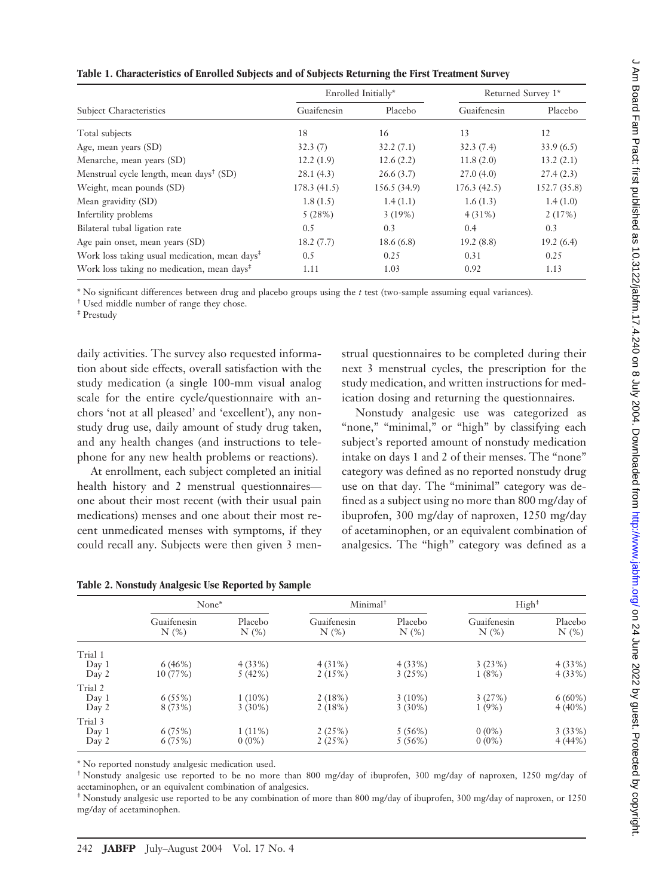| ì                                                                                                                                                                                                                                   |
|-------------------------------------------------------------------------------------------------------------------------------------------------------------------------------------------------------------------------------------|
| Į                                                                                                                                                                                                                                   |
|                                                                                                                                                                                                                                     |
| :<br> <br> <br> <br>U                                                                                                                                                                                                               |
|                                                                                                                                                                                                                                     |
|                                                                                                                                                                                                                                     |
| ì                                                                                                                                                                                                                                   |
| .<br>1                                                                                                                                                                                                                              |
|                                                                                                                                                                                                                                     |
|                                                                                                                                                                                                                                     |
|                                                                                                                                                                                                                                     |
|                                                                                                                                                                                                                                     |
|                                                                                                                                                                                                                                     |
|                                                                                                                                                                                                                                     |
|                                                                                                                                                                                                                                     |
|                                                                                                                                                                                                                                     |
|                                                                                                                                                                                                                                     |
|                                                                                                                                                                                                                                     |
|                                                                                                                                                                                                                                     |
| $\frac{1}{2}$                                                                                                                                                                                                                       |
|                                                                                                                                                                                                                                     |
|                                                                                                                                                                                                                                     |
|                                                                                                                                                                                                                                     |
|                                                                                                                                                                                                                                     |
|                                                                                                                                                                                                                                     |
|                                                                                                                                                                                                                                     |
|                                                                                                                                                                                                                                     |
|                                                                                                                                                                                                                                     |
|                                                                                                                                                                                                                                     |
|                                                                                                                                                                                                                                     |
|                                                                                                                                                                                                                                     |
|                                                                                                                                                                                                                                     |
| i                                                                                                                                                                                                                                   |
|                                                                                                                                                                                                                                     |
|                                                                                                                                                                                                                                     |
|                                                                                                                                                                                                                                     |
| シンク フィア                                                                                                                                                                                                                             |
|                                                                                                                                                                                                                                     |
|                                                                                                                                                                                                                                     |
|                                                                                                                                                                                                                                     |
|                                                                                                                                                                                                                                     |
|                                                                                                                                                                                                                                     |
|                                                                                                                                                                                                                                     |
|                                                                                                                                                                                                                                     |
| ì                                                                                                                                                                                                                                   |
|                                                                                                                                                                                                                                     |
|                                                                                                                                                                                                                                     |
|                                                                                                                                                                                                                                     |
|                                                                                                                                                                                                                                     |
| )<br>)                                                                                                                                                                                                                              |
|                                                                                                                                                                                                                                     |
|                                                                                                                                                                                                                                     |
|                                                                                                                                                                                                                                     |
|                                                                                                                                                                                                                                     |
|                                                                                                                                                                                                                                     |
|                                                                                                                                                                                                                                     |
|                                                                                                                                                                                                                                     |
| えこここ ここけこく りこ りょうこ けいこ りりここ                                                                                                                                                                                                         |
|                                                                                                                                                                                                                                     |
| ١                                                                                                                                                                                                                                   |
| l                                                                                                                                                                                                                                   |
| į                                                                                                                                                                                                                                   |
|                                                                                                                                                                                                                                     |
|                                                                                                                                                                                                                                     |
|                                                                                                                                                                                                                                     |
| )<br>}<br>T                                                                                                                                                                                                                         |
|                                                                                                                                                                                                                                     |
|                                                                                                                                                                                                                                     |
|                                                                                                                                                                                                                                     |
|                                                                                                                                                                                                                                     |
|                                                                                                                                                                                                                                     |
|                                                                                                                                                                                                                                     |
|                                                                                                                                                                                                                                     |
| <b>BIN NA</b><br>í                                                                                                                                                                                                                  |
| ŕ                                                                                                                                                                                                                                   |
|                                                                                                                                                                                                                                     |
|                                                                                                                                                                                                                                     |
|                                                                                                                                                                                                                                     |
|                                                                                                                                                                                                                                     |
|                                                                                                                                                                                                                                     |
|                                                                                                                                                                                                                                     |
|                                                                                                                                                                                                                                     |
|                                                                                                                                                                                                                                     |
|                                                                                                                                                                                                                                     |
|                                                                                                                                                                                                                                     |
|                                                                                                                                                                                                                                     |
|                                                                                                                                                                                                                                     |
|                                                                                                                                                                                                                                     |
|                                                                                                                                                                                                                                     |
|                                                                                                                                                                                                                                     |
|                                                                                                                                                                                                                                     |
|                                                                                                                                                                                                                                     |
|                                                                                                                                                                                                                                     |
|                                                                                                                                                                                                                                     |
|                                                                                                                                                                                                                                     |
|                                                                                                                                                                                                                                     |
|                                                                                                                                                                                                                                     |
|                                                                                                                                                                                                                                     |
|                                                                                                                                                                                                                                     |
|                                                                                                                                                                                                                                     |
| <b>A</b> communication of the state of the communication of the communication of the communication of the communication of the communication of the communication of the communication of the communication of the communication of |
|                                                                                                                                                                                                                                     |
|                                                                                                                                                                                                                                     |
|                                                                                                                                                                                                                                     |
|                                                                                                                                                                                                                                     |
| .<br>7<br>7<br>7                                                                                                                                                                                                                    |
|                                                                                                                                                                                                                                     |
|                                                                                                                                                                                                                                     |
|                                                                                                                                                                                                                                     |
|                                                                                                                                                                                                                                     |
|                                                                                                                                                                                                                                     |

 $\epsilon$ 

|                                                           |             | Enrolled Initially* | Returned Survey 1* |              |  |
|-----------------------------------------------------------|-------------|---------------------|--------------------|--------------|--|
| <b>Subject Characteristics</b>                            | Guaifenesin | Placebo             | Guaifenesin        | Placebo      |  |
| Total subjects                                            | 18          | 16                  | 13                 | 12           |  |
| Age, mean years (SD)                                      | 32.3(7)     | 32.2(7.1)           | 32.3(7.4)          | 33.9(6.5)    |  |
| Menarche, mean years (SD)                                 | 12.2(1.9)   | 12.6(2.2)           | 11.8(2.0)          | 13.2(2.1)    |  |
| Menstrual cycle length, mean days <sup>†</sup> (SD)       | 28.1(4.3)   | 26.6(3.7)           | 27.0(4.0)          | 27.4(2.3)    |  |
| Weight, mean pounds (SD)                                  | 178.3(41.5) | 156.5 (34.9)        | 176.3(42.5)        | 152.7 (35.8) |  |
| Mean gravidity (SD)                                       | 1.8(1.5)    | 1.4(1.1)            | 1.6(1.3)           | 1.4(1.0)     |  |
| Infertility problems                                      | 5(28%)      | 3(19%)              | $4(31\%)$          | 2(17%)       |  |
| Bilateral tubal ligation rate                             | 0.5         | 0.3                 | 0.4                | 0.3          |  |
| Age pain onset, mean years (SD)                           | 18.2(7.7)   | 18.6(6.8)           | 19.2(8.8)          | 19.2(6.4)    |  |
| Work loss taking usual medication, mean days <sup>‡</sup> | 0.5         | 0.25                | 0.31               | 0.25         |  |
| Work loss taking no medication, mean days <sup>‡</sup>    | 1.11        | 1.03                | 0.92               | 1.13         |  |

\* No significant differences between drug and placebo groups using the *t* test (two-sample assuming equal variances).

† Used middle number of range they chose.

‡ Prestudy

daily activities. The survey also requested information about side effects, overall satisfaction with the study medication (a single 100-mm visual analog scale for the entire cycle/questionnaire with anchors 'not at all pleased' and 'excellent'), any nonstudy drug use, daily amount of study drug taken, and any health changes (and instructions to telephone for any new health problems or reactions).

At enrollment, each subject completed an initial health history and 2 menstrual questionnaires one about their most recent (with their usual pain medications) menses and one about their most recent unmedicated menses with symptoms, if they could recall any. Subjects were then given 3 men-

strual questionnaires to be completed during their next 3 menstrual cycles, the prescription for the study medication, and written instructions for medication dosing and returning the questionnaires.

Nonstudy analgesic use was categorized as "none," "minimal," or "high" by classifying each subject's reported amount of nonstudy medication intake on days 1 and 2 of their menses. The "none" category was defined as no reported nonstudy drug use on that day. The "minimal" category was defined as a subject using no more than 800 mg/day of ibuprofen, 300 mg/day of naproxen, 1250 mg/day of acetaminophen, or an equivalent combination of analgesics. The "high" category was defined as a

|                           | None*               |                        | Minimal <sup>†</sup>      |                        | High <sup>‡</sup>         |                        |
|---------------------------|---------------------|------------------------|---------------------------|------------------------|---------------------------|------------------------|
|                           | Guaifenesin<br>N(%) | Placebo<br>$N(\%)$     | Guaifenesin<br>$N$ $(\%)$ | Placebo<br>$N$ $(\%)$  | Guaifenesin<br>$N$ $(\%)$ | Placebo<br>$N$ $(\%)$  |
| Trial 1<br>Day 1<br>Day 2 | 6(46%)<br>10 (77%)  | 4(33%)<br>5(42%)       | 4(31%)<br>2(15%)          | 4(33%)<br>3(25%)       | 3(23%)<br>1(8%)           | 4(33%)<br>4(33%)       |
| Trial 2<br>Day 1<br>Day 2 | 6(55%)<br>8 (73%)   | $1(10\%)$<br>$3(30\%)$ | 2(18%)<br>2(18%)          | $3(10\%)$<br>$3(30\%)$ | 3(27%)<br>1(9%)           | $6(60\%)$<br>$4(40\%)$ |
| Trial 3<br>Day 1<br>Day 2 | 6(75%)<br>6(75%)    | $1(11\%)$<br>$0(0\%)$  | 2(25%)<br>2(25%)          | 5(56%)<br>5(56%)       | $0(0\%)$<br>$0(0\%)$      | 3(33%)<br>4(44%        |

| Table 2. Nonstudy Analgesic Use Reported by Sample |  |  |  |  |  |
|----------------------------------------------------|--|--|--|--|--|
|----------------------------------------------------|--|--|--|--|--|

\* No reported nonstudy analgesic medication used.

† Nonstudy analgesic use reported to be no more than 800 mg/day of ibuprofen, 300 mg/day of naproxen, 1250 mg/day of acetaminophen, or an equivalent combination of analgesics.

‡ Nonstudy analgesic use reported to be any combination of more than 800 mg/day of ibuprofen, 300 mg/day of naproxen, or 1250 mg/day of acetaminophen.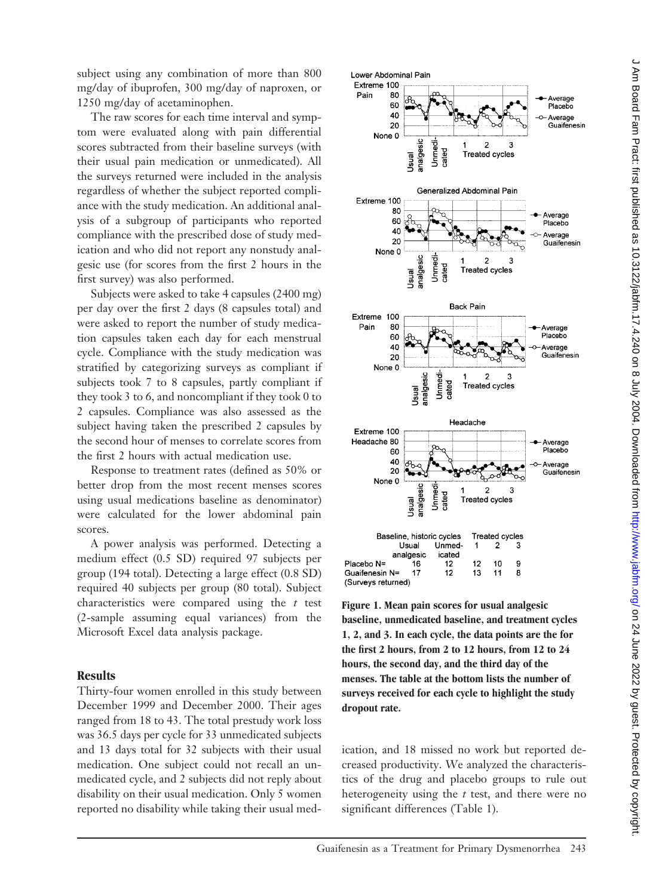subject using any combination of more than 800 mg/day of ibuprofen, 300 mg/day of naproxen, or 1250 mg/day of acetaminophen.

The raw scores for each time interval and symptom were evaluated along with pain differential scores subtracted from their baseline surveys (with their usual pain medication or unmedicated). All the surveys returned were included in the analysis regardless of whether the subject reported compliance with the study medication. An additional analysis of a subgroup of participants who reported compliance with the prescribed dose of study medication and who did not report any nonstudy analgesic use (for scores from the first 2 hours in the first survey) was also performed.

Subjects were asked to take 4 capsules (2400 mg) per day over the first 2 days (8 capsules total) and were asked to report the number of study medication capsules taken each day for each menstrual cycle. Compliance with the study medication was stratified by categorizing surveys as compliant if subjects took 7 to 8 capsules, partly compliant if they took 3 to 6, and noncompliant if they took 0 to 2 capsules. Compliance was also assessed as the subject having taken the prescribed 2 capsules by the second hour of menses to correlate scores from the first 2 hours with actual medication use.

Response to treatment rates (defined as 50% or better drop from the most recent menses scores using usual medications baseline as denominator) were calculated for the lower abdominal pain scores.

A power analysis was performed. Detecting a medium effect (0.5SD) required 97 subjects per group (194 total). Detecting a large effect (0.8 SD) required 40 subjects per group (80 total). Subject characteristics were compared using the *t* test (2-sample assuming equal variances) from the Microsoft Excel data analysis package.

### **Results**

Thirty-four women enrolled in this study between December 1999 and December 2000. Their ages ranged from 18 to 43. The total prestudy work loss was 36.5 days per cycle for 33 unmedicated subjects and 13 days total for 32 subjects with their usual medication. One subject could not recall an unmedicated cycle, and 2 subjects did not reply about disability on their usual medication. Only 5 women reported no disability while taking their usual med-



**Figure 1. Mean pain scores for usual analgesic baseline, unmedicated baseline, and treatment cycles 1, 2, and 3. In each cycle, the data points are the for the first 2 hours, from 2 to 12 hours, from 12 to 24 hours, the second day, and the third day of the menses. The table at the bottom lists the number of surveys received for each cycle to highlight the study dropout rate.**

ication, and 18 missed no work but reported decreased productivity. We analyzed the characteristics of the drug and placebo groups to rule out heterogeneity using the *t* test, and there were no significant differences (Table 1).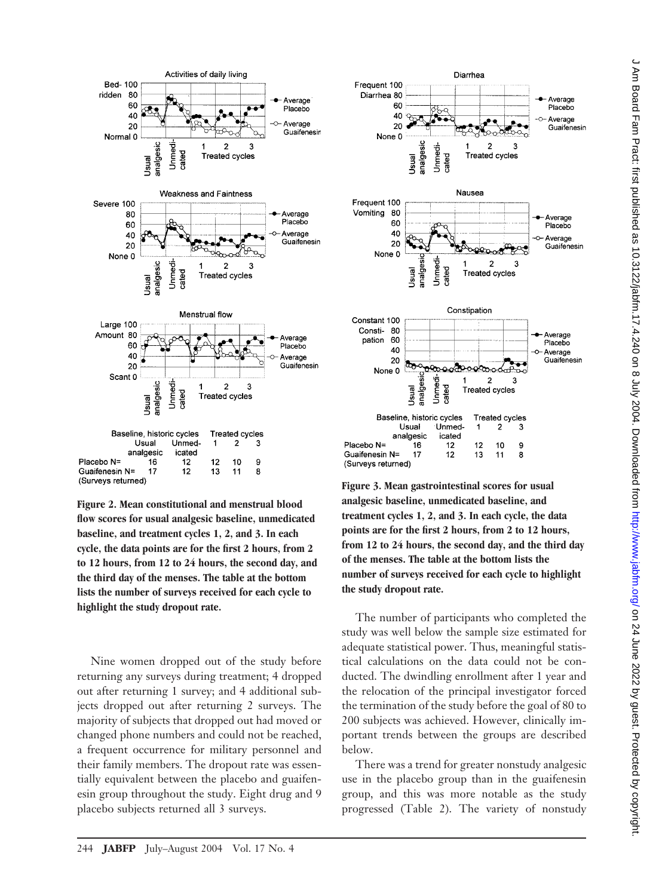

**Figure 2. Mean constitutional and menstrual blood flow scores for usual analgesic baseline, unmedicated baseline, and treatment cycles 1, 2, and 3. In each cycle, the data points are for the first 2 hours, from 2 to 12 hours, from 12 to 24 hours, the second day, and the third day of the menses. The table at the bottom lists the number of surveys received for each cycle to highlight the study dropout rate.**

Nine women dropped out of the study before returning any surveys during treatment; 4 dropped out after returning 1 survey; and 4 additional subjects dropped out after returning 2 surveys. The majority of subjects that dropped out had moved or changed phone numbers and could not be reached, a frequent occurrence for military personnel and their family members. The dropout rate was essentially equivalent between the placebo and guaifenesin group throughout the study. Eight drug and 9 placebo subjects returned all 3 surveys.



**Figure 3. Mean gastrointestinal scores for usual analgesic baseline, unmedicated baseline, and treatment cycles 1, 2, and 3. In each cycle, the data points are for the first 2 hours, from 2 to 12 hours, from 12 to 24 hours, the second day, and the third day of the menses. The table at the bottom lists the number of surveys received for each cycle to highlight the study dropout rate.**

The number of participants who completed the study was well below the sample size estimated for adequate statistical power. Thus, meaningful statistical calculations on the data could not be conducted. The dwindling enrollment after 1 year and the relocation of the principal investigator forced the termination of the study before the goal of 80 to 200 subjects was achieved. However, clinically important trends between the groups are described below.

There was a trend for greater nonstudy analgesic use in the placebo group than in the guaifenesin group, and this was more notable as the study progressed (Table 2). The variety of nonstudy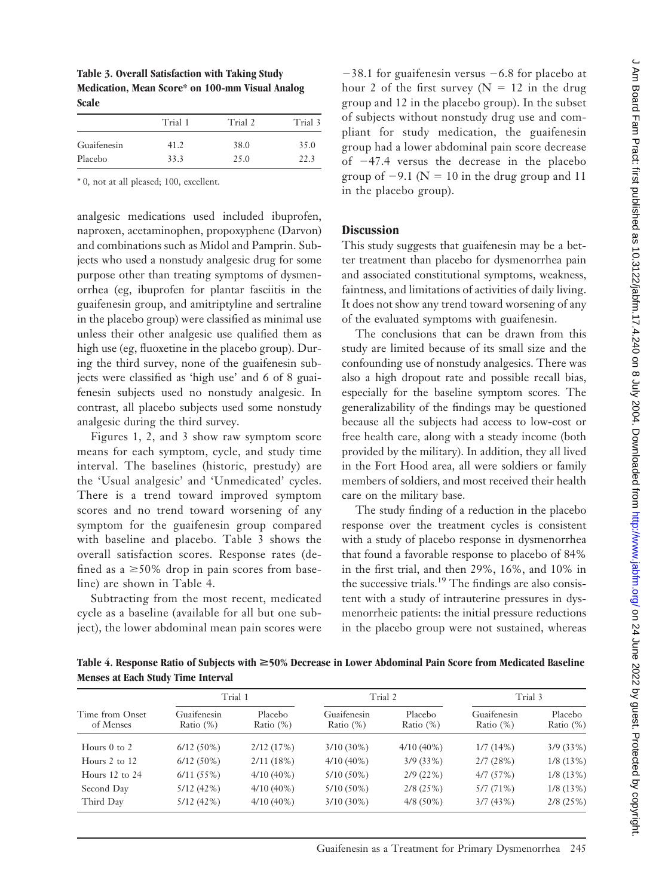**Table 3. Overall Satisfaction with Taking Study Medication, Mean Score\* on 100-mm Visual Analog Scale**

|      |                 | Trial 3         |  |
|------|-----------------|-----------------|--|
|      |                 | 35.0            |  |
| 33.3 | 25.0            | 22.3            |  |
|      | Trial 1<br>41.2 | Trial 2<br>38.0 |  |

\* 0, not at all pleased; 100, excellent.

analgesic medications used included ibuprofen, naproxen, acetaminophen, propoxyphene (Darvon) and combinations such as Midol and Pamprin. Subjects who used a nonstudy analgesic drug for some purpose other than treating symptoms of dysmenorrhea (eg, ibuprofen for plantar fasciitis in the guaifenesin group, and amitriptyline and sertraline in the placebo group) were classified as minimal use unless their other analgesic use qualified them as high use (eg, fluoxetine in the placebo group). During the third survey, none of the guaifenesin subjects were classified as 'high use' and 6 of 8 guaifenesin subjects used no nonstudy analgesic. In contrast, all placebo subjects used some nonstudy analgesic during the third survey.

Figures 1, 2, and 3 show raw symptom score means for each symptom, cycle, and study time interval. The baselines (historic, prestudy) are the 'Usual analgesic' and 'Unmedicated' cycles. There is a trend toward improved symptom scores and no trend toward worsening of any symptom for the guaifenesin group compared with baseline and placebo. Table 3 shows the overall satisfaction scores. Response rates (defined as  $a \ge 50\%$  drop in pain scores from baseline) are shown in Table 4.

Subtracting from the most recent, medicated cycle as a baseline (available for all but one subject), the lower abdominal mean pain scores were

 $-38.1$  for guaifenesin versus  $-6.8$  for placebo at hour 2 of the first survey ( $N = 12$  in the drug group and 12 in the placebo group). In the subset of subjects without nonstudy drug use and compliant for study medication, the guaifenesin group had a lower abdominal pain score decrease of  $-47.4$  versus the decrease in the placebo group of  $-9.1$  (N = 10 in the drug group and 11 in the placebo group).

# **Discussion**

This study suggests that guaifenesin may be a better treatment than placebo for dysmenorrhea pain and associated constitutional symptoms, weakness, faintness, and limitations of activities of daily living. It does not show any trend toward worsening of any of the evaluated symptoms with guaifenesin.

The conclusions that can be drawn from this study are limited because of its small size and the confounding use of nonstudy analgesics. There was also a high dropout rate and possible recall bias, especially for the baseline symptom scores. The generalizability of the findings may be questioned because all the subjects had access to low-cost or free health care, along with a steady income (both provided by the military). In addition, they all lived in the Fort Hood area, all were soldiers or family members of soldiers, and most received their health care on the military base.

The study finding of a reduction in the placebo response over the treatment cycles is consistent with a study of placebo response in dysmenorrhea that found a favorable response to placebo of 84% in the first trial, and then 29%, 16%, and 10% in the successive trials.<sup>19</sup> The findings are also consistent with a study of intrauterine pressures in dysmenorrheic patients: the initial pressure reductions in the placebo group were not sustained, whereas

**Table 4. Response Ratio of Subjects with** >**50% Decrease in Lower Abdominal Pain Score from Medicated Baseline Menses at Each Study Time Interval**

|                              | Trial 1                     |                         | Trial 2                     |                         | Trial 3                     |                         |
|------------------------------|-----------------------------|-------------------------|-----------------------------|-------------------------|-----------------------------|-------------------------|
| Time from Onset<br>of Menses | Guaifenesin<br>Ratio $(\%)$ | Placebo<br>Ratio $(\%)$ | Guaifenesin<br>Ratio $(\%)$ | Placebo<br>Ratio $(\%)$ | Guaifenesin<br>Ratio $(\%)$ | Placebo<br>Ratio $(\%)$ |
| Hours $0$ to $2$             | $6/12(50\%)$                | 2/12(17%)               | $3/10(30\%)$                | $4/10(40\%)$            | 1/7(14%)                    | 3/9(33%)                |
| Hours $2$ to $12$            | $6/12(50\%)$                | 2/11(18%)               | $4/10(40\%)$                | 3/9(33%)                | 2/7(28%)                    | 1/8(13%)                |
| Hours $12$ to $24$           | 6/11(55%)                   | $4/10(40\%)$            | $5/10(50\%)$                | 2/9(22%)                | 4/7(57%)                    | 1/8(13%)                |
| Second Day                   | 5/12(42%)                   | $4/10(40\%)$            | $5/10(50\%)$                | 2/8(25%)                | 5/7(71%)                    | 1/8(13%)                |
| Third Day                    | 5/12(42%)                   | $4/10(40\%)$            | $3/10(30\%)$                | $4/8(50\%)$             | 3/7(43%)                    | 2/8(25%)                |